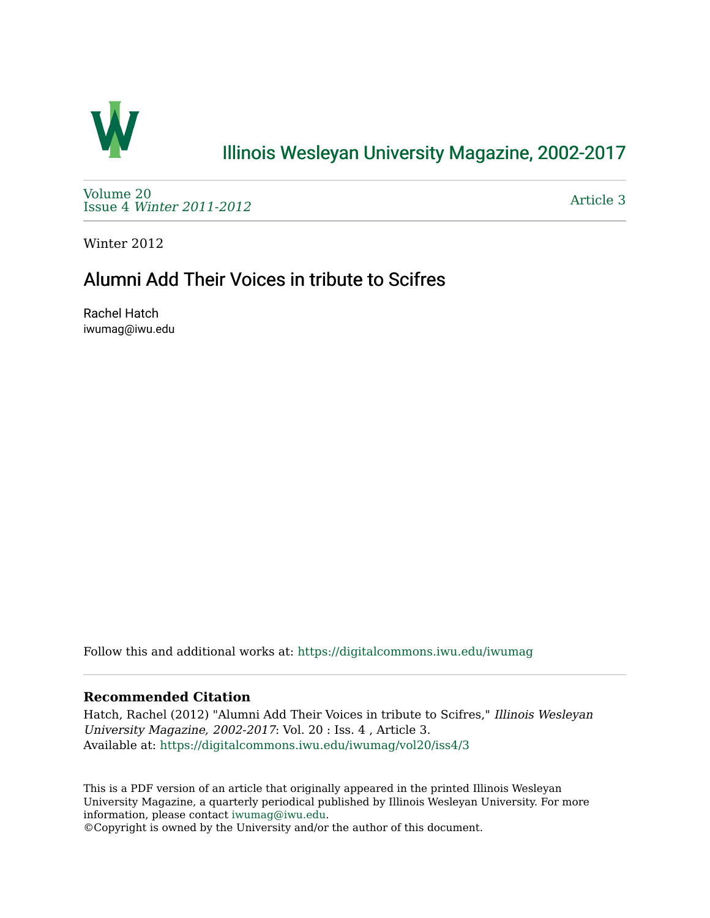

## [Illinois Wesleyan University Magazine, 2002-2017](https://digitalcommons.iwu.edu/iwumag)

[Volume 20](https://digitalcommons.iwu.edu/iwumag/vol20)  Issue 4 [Winter 2011-2012](https://digitalcommons.iwu.edu/iwumag/vol20/iss4)

[Article 3](https://digitalcommons.iwu.edu/iwumag/vol20/iss4/3) 

Winter 2012

## Alumni Add Their Voices in tribute to Scifres

Rachel Hatch iwumag@iwu.edu

Follow this and additional works at: [https://digitalcommons.iwu.edu/iwumag](https://digitalcommons.iwu.edu/iwumag?utm_source=digitalcommons.iwu.edu%2Fiwumag%2Fvol20%2Fiss4%2F3&utm_medium=PDF&utm_campaign=PDFCoverPages) 

#### **Recommended Citation**

Hatch, Rachel (2012) "Alumni Add Their Voices in tribute to Scifres," Illinois Wesleyan University Magazine, 2002-2017: Vol. 20 : Iss. 4 , Article 3. Available at: [https://digitalcommons.iwu.edu/iwumag/vol20/iss4/3](https://digitalcommons.iwu.edu/iwumag/vol20/iss4/3?utm_source=digitalcommons.iwu.edu%2Fiwumag%2Fvol20%2Fiss4%2F3&utm_medium=PDF&utm_campaign=PDFCoverPages)

This is a PDF version of an article that originally appeared in the printed Illinois Wesleyan University Magazine, a quarterly periodical published by Illinois Wesleyan University. For more information, please contact [iwumag@iwu.edu](mailto:iwumag@iwu.edu).

©Copyright is owned by the University and/or the author of this document.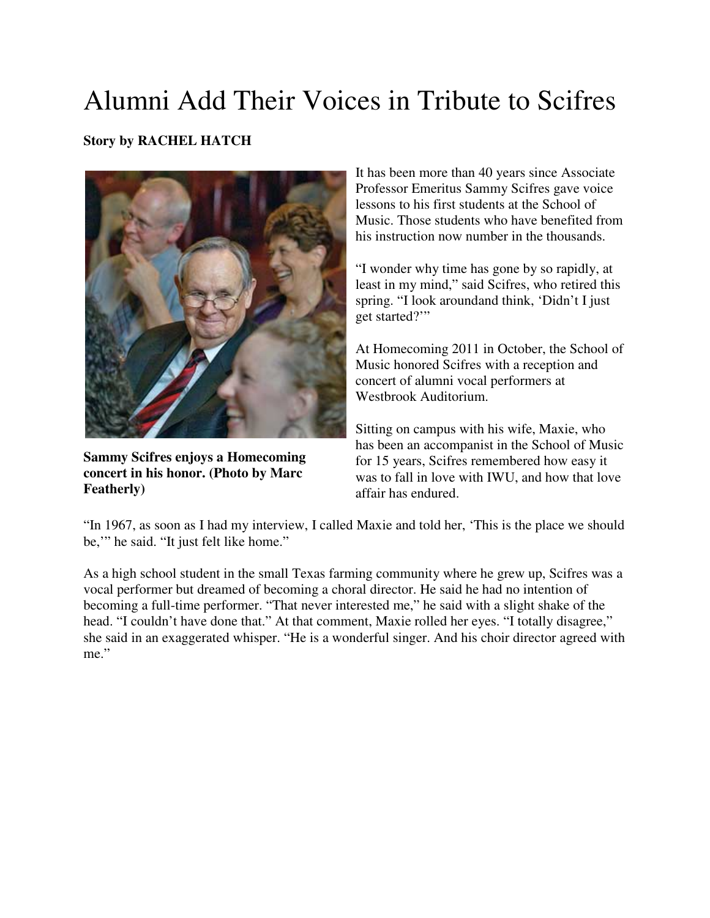# Alumni Add Their Voices in Tribute to Scifres

### **Story by RACHEL HATCH**



**Sammy Scifres enjoys a Homecoming concert in his honor. (Photo by Marc Featherly)**

It has been more than 40 years since Associate Professor Emeritus Sammy Scifres gave voice lessons to his first students at the School of Music. Those students who have benefited from his instruction now number in the thousands.

"I wonder why time has gone by so rapidly, at least in my mind," said Scifres, who retired this spring. "I look aroundand think, 'Didn't I just get started?'"

At Homecoming 2011 in October, the School of Music honored Scifres with a reception and concert of alumni vocal performers at Westbrook Auditorium.

Sitting on campus with his wife, Maxie, who has been an accompanist in the School of Music for 15 years, Scifres remembered how easy it was to fall in love with IWU, and how that love affair has endured.

"In 1967, as soon as I had my interview, I called Maxie and told her, 'This is the place we should be,'" he said. "It just felt like home."

As a high school student in the small Texas farming community where he grew up, Scifres was a vocal performer but dreamed of becoming a choral director. He said he had no intention of becoming a full-time performer. "That never interested me," he said with a slight shake of the head. "I couldn't have done that." At that comment, Maxie rolled her eyes. "I totally disagree," she said in an exaggerated whisper. "He is a wonderful singer. And his choir director agreed with me."